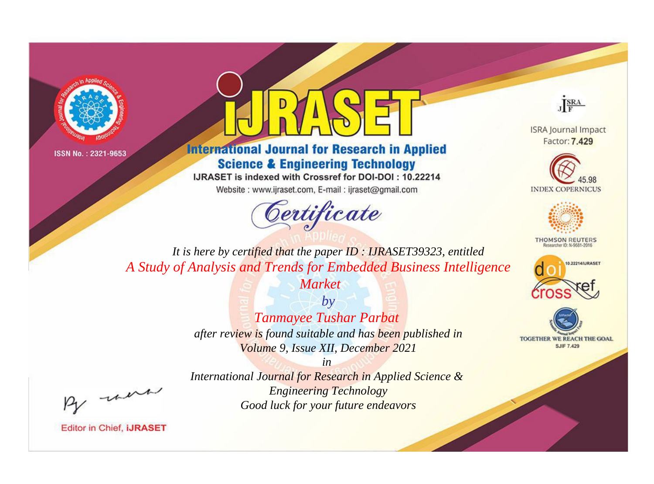



**International Journal for Research in Applied Science & Engineering Technology** 

IJRASET is indexed with Crossref for DOI-DOI: 10.22214

Website: www.ijraset.com, E-mail: ijraset@gmail.com





**ISRA Journal Impact** Factor: 7.429





**THOMSON REUTERS** 



TOGETHER WE REACH THE GOAL **SJIF 7.429** 

*It is here by certified that the paper ID : IJRASET39323, entitled A Study of Analysis and Trends for Embedded Business Intelligence* 

*Market*

*by Tanmayee Tushar Parbat after review is found suitable and has been published in Volume 9, Issue XII, December 2021*

, un

*International Journal for Research in Applied Science & Engineering Technology Good luck for your future endeavors*

*in*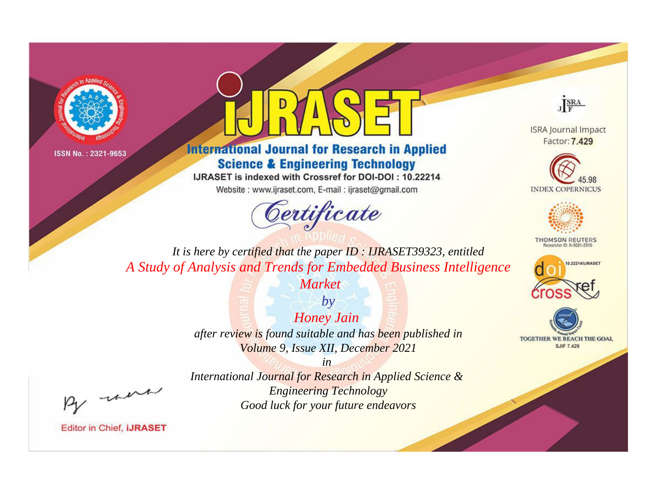



**International Journal for Research in Applied Science & Engineering Technology** 

IJRASET is indexed with Crossref for DOI-DOI: 10.22214

Website: www.ijraset.com, E-mail: ijraset@gmail.com





**ISRA Journal Impact** Factor: 7.429





**THOMSON REUTERS** 



TOGETHER WE REACH THE GOAL **SJIF 7.429** 

*It is here by certified that the paper ID : IJRASET39323, entitled A Study of Analysis and Trends for Embedded Business Intelligence* 

*Market*

*by Honey Jain after review is found suitable and has been published in Volume 9, Issue XII, December 2021*

, un

*International Journal for Research in Applied Science & Engineering Technology Good luck for your future endeavors*

*in*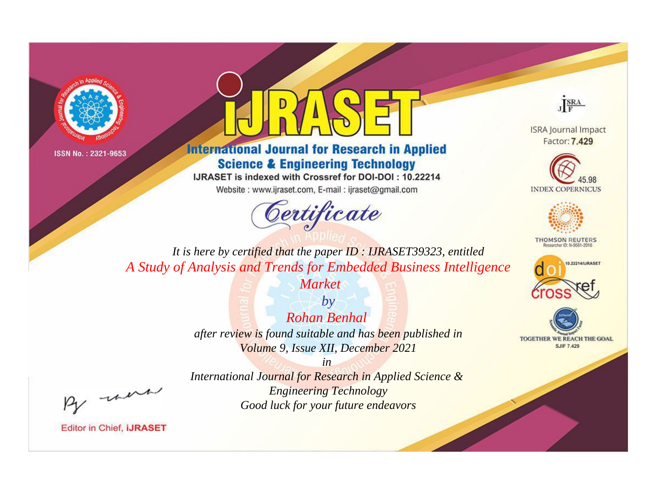



**International Journal for Research in Applied Science & Engineering Technology** 

IJRASET is indexed with Crossref for DOI-DOI: 10.22214

Website: www.ijraset.com, E-mail: ijraset@gmail.com





**ISRA Journal Impact** Factor: 7.429





**THOMSON REUTERS** 



TOGETHER WE REACH THE GOAL **SJIF 7.429** 

*It is here by certified that the paper ID : IJRASET39323, entitled A Study of Analysis and Trends for Embedded Business Intelligence* 

*Market*

*by Rohan Benhal after review is found suitable and has been published in Volume 9, Issue XII, December 2021*

, were

*in International Journal for Research in Applied Science & Engineering Technology Good luck for your future endeavors*